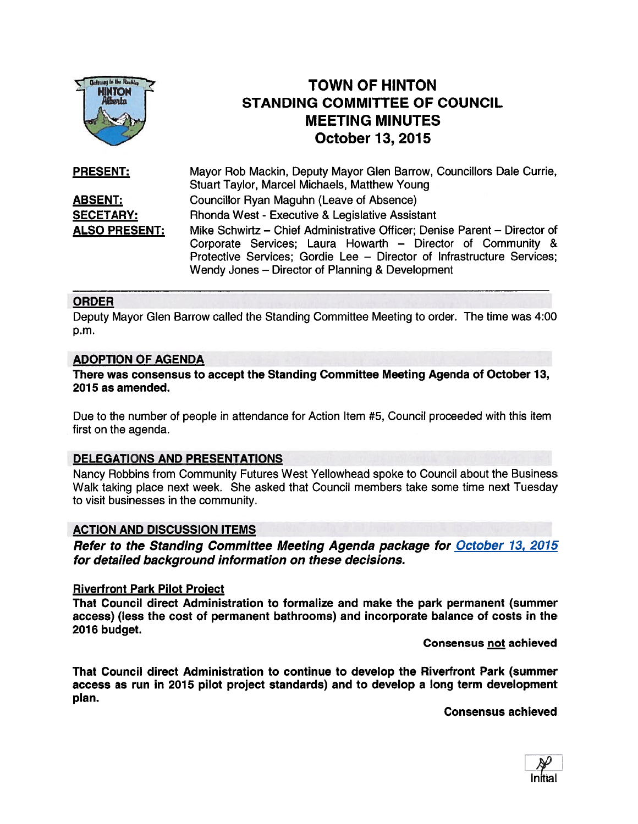

# TOWN OF HINTON STANDING COMMITTEE OF COUNCIL MEETING MINUTES October 13, 2015

| <b>PRESENT:</b>      | Mayor Rob Mackin, Deputy Mayor Glen Barrow, Councillors Dale Currie,<br><b>Stuart Taylor, Marcel Michaels, Matthew Young</b> |
|----------------------|------------------------------------------------------------------------------------------------------------------------------|
|                      |                                                                                                                              |
| <b>ABSENT:</b>       | Councillor Ryan Maguhn (Leave of Absence)                                                                                    |
| <b>SECETARY:</b>     | Rhonda West - Executive & Legislative Assistant                                                                              |
| <b>ALSO PRESENT:</b> | Mike Schwirtz – Chief Administrative Officer; Denise Parent – Director of                                                    |
|                      | Corporate Services; Laura Howarth - Director of Community &                                                                  |
|                      | Protective Services; Gordie Lee - Director of Infrastructure Services;                                                       |
|                      | Wendy Jones – Director of Planning & Development                                                                             |

#### ORDER

Deputy Mayor Glen Barrow called the Standing Committee Meeting to order. The time was 4:00 p.m.

#### ADOPTION OF AGENDA

#### There was consensus to accep<sup>t</sup> the Standing Committee Meeting Agenda of October 13, 2075 as amended.

Due to the number of people in attendance for Action Item #5, Council proceeded with this item first on the agenda.

#### DELEGATIONS AND PRESENTATIONS

Nancy Robbins from Community Futures West Yellowhead spoke to Council about the Business Walk taking place next week. She asked that Council members take some time next Tuesday to visit businesses in the community.

#### ACTION AND DISCUSSION ITEMS

Refer to the Standing Committee Meeting Agenda package for October 13, 2015 for detailed background information on these decisions.

#### Riverfront Park Pilot Project

That Council direct Administration to formalize and make the park permanen<sup>t</sup> (summer access) (less the cost of permanen<sup>t</sup> bathrooms) and incorporate balance of costs in the 2016 budget.

Consensus not achieved

That Council direct Administration to continue to develop the Riverfront Park (summer access as run in 2075 pilot project standards) and to develop <sup>a</sup> long term development plan.

Consensus achieved

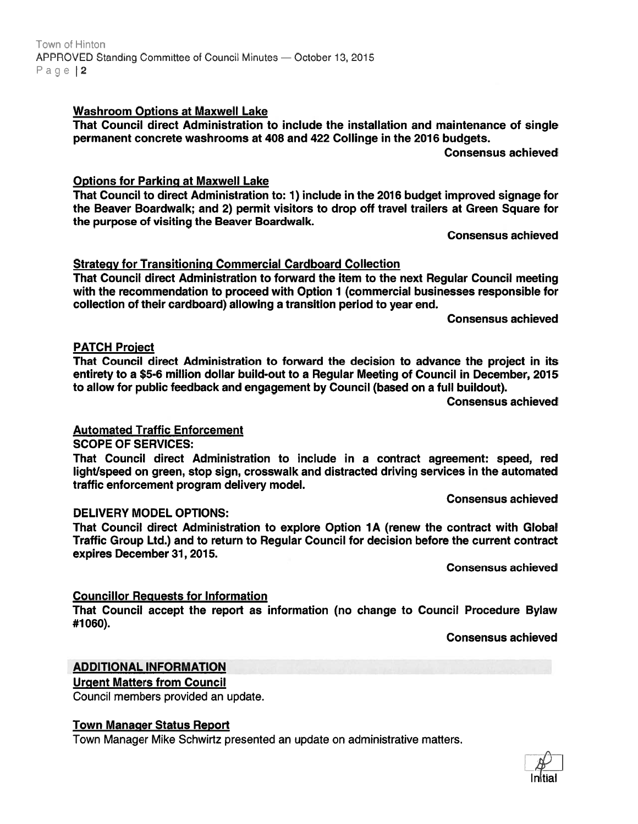### Washroom Options at Maxwell Lake

That Council direct Administration to include the installation and maintenance of single permanent concrete washrooms at 408 and 422 Collinge in the 2016 budgets.

Consensus achieved

### Options for Parking at Maxwell Lake

That Council to direct Administration to: 1) include in the 2016 budget improved signage for the Beaver Boardwalk; and 2) permit visitors to drop off travel trailers at Green Square for the purpose of visiting the Beaver Boardwalk.

Consensus achieved

# Strategy for Transitioning Commercial Cardboard Collection

That Council direct Administration to forward the item to the next Regular Council meeting with the recommendation to proceed with Option 1 (commercial businesses responsible for collection of their cardboard) allowing <sup>a</sup> transition period to year end.

Consensus achieved

### PATCH Proiect

That Council direct Administration to forward the decision to advance the project in its entirety to <sup>a</sup> \$5-6 million dollar build-out to <sup>a</sup> Regular Meeting of Council in December, 2015 to allow for public feedback and engagemen<sup>t</sup> by Council (based on <sup>a</sup> full buildout).

Consensus achieved

# Automated Traffic Enforcement

SCOPE OF SERVICES:

That Council direct Administration to include in <sup>a</sup> contract agreement: speed, red light/speed on green, stop sign, crosswalk and distracted driving services in the automated traffic enforcement program delivery model.

Consensus achieved

### DELIVERY MODEL OPTIONS:

That Council direct Administration to explore Option 1A (renew the contract with Global Traffic Group Ltd.) and to return to Regular Council for decision before the current contract expires December 31, 2015.

Consensus achieved

# Councillor Requests for Information

That Council accep<sup>t</sup> the repor<sup>t</sup> as information (no change to Council Procedure Bylaw #1060).

Consensus achieved

# ADDITIONAL INFORMATION

# Urgent Matters from Council

Council members provided an update.

### Town Manager Status Report

Town Manager Mike Schwirtz presented an update on administrative matters.